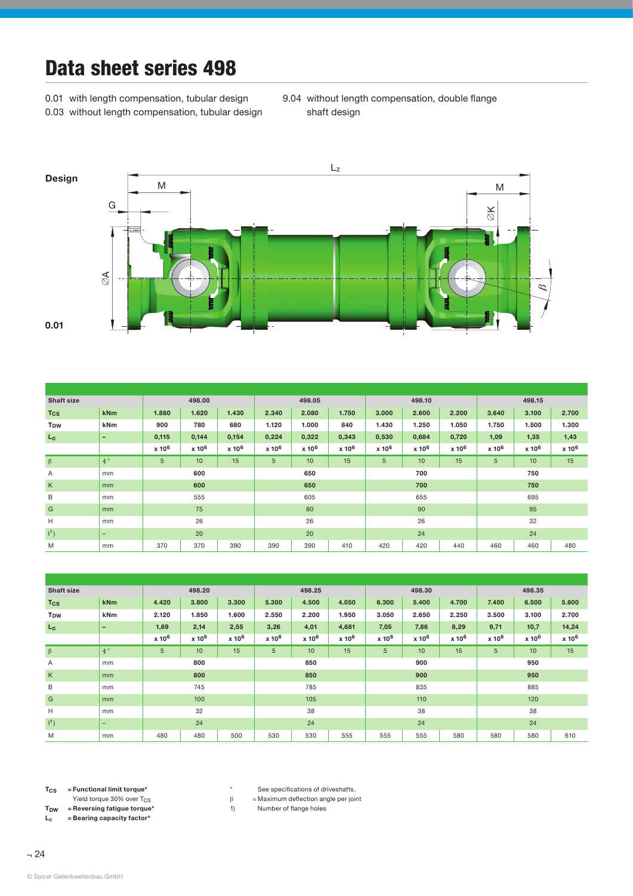## Data sheet series 498

0.01 with length compensation, tubular design 0.03 without length compensation, tubular design 9.04 without length compensation, double flange shaft design



| <b>Shaft size</b> |           | 498.00            |                   |                   | 498.05            |                   |                   |                   | 498.10            |                   | 498.15            |                   |                   |  |
|-------------------|-----------|-------------------|-------------------|-------------------|-------------------|-------------------|-------------------|-------------------|-------------------|-------------------|-------------------|-------------------|-------------------|--|
| <b>Tcs</b>        | kNm       | 1.880             | 1.620             | 1.430             | 2.340             | 2.080             | 1.750             | 3.000             | 2.600             | 2.200             | 3.640             | 3.100             | 2.700             |  |
| T <sub>DW</sub>   | kNm       | 900               | 780               | 680               | 1.120             | 1.000             | 840               | 1.430             | 1.250             | 1.050             | 1.750             | 1.500             | 1.300             |  |
| $L_{\rm c}$       | -         | 0,115             | 0,144             | 0,154             | 0,224             | 0,322             | 0,343             | 0,530             | 0,684             | 0,720             | 1,09              | 1,35              | 1,43              |  |
|                   |           | x 10 <sup>6</sup> | x 10 <sup>6</sup> | x 10 <sup>6</sup> | x 10 <sup>6</sup> | x 10 <sup>6</sup> | x 10 <sup>6</sup> | x 10 <sup>6</sup> | x 10 <sup>6</sup> | x 10 <sup>6</sup> | x 10 <sup>6</sup> | x 10 <sup>6</sup> | x 10 <sup>6</sup> |  |
| $\beta$           | $\star$ ° | 5                 | 10                | 15                | 5                 | 10                | 15                | $\overline{5}$    | 10                | 15                | $\sqrt{5}$        | 10                | 15                |  |
| Α                 | mm        | 600               |                   |                   | 650               |                   |                   |                   | 700               |                   | 750               |                   |                   |  |
| $\sf K$           | mm        | 600               |                   |                   | 650               |                   |                   |                   | 700               |                   | 750               |                   |                   |  |
| $\mathsf B$       | mm        | 555               |                   |                   | 605               |                   |                   |                   | 655               |                   | 695               |                   |                   |  |
| G                 | mm        | 75                |                   |                   | 80                |                   |                   |                   | 90                |                   | 95                |                   |                   |  |
| H                 | mm        | 26                |                   |                   | 26                |                   |                   |                   | 26                |                   | 32                |                   |                   |  |
| 1 <sup>1</sup>    | -         | 20                |                   |                   | 20                |                   |                   |                   | 24                |                   | 24                |                   |                   |  |
| M                 | mm        | 370<br>370<br>390 |                   |                   | 390<br>390<br>410 |                   |                   | 420<br>420<br>440 |                   |                   | 460<br>460<br>480 |                   |                   |  |

| <b>Shaft size</b>     |                          | 498.20            |                   |                   | 498.25            |                   |                   |                   | 498.30            |                   | 498.35            |                   |                   |  |
|-----------------------|--------------------------|-------------------|-------------------|-------------------|-------------------|-------------------|-------------------|-------------------|-------------------|-------------------|-------------------|-------------------|-------------------|--|
| <b>Tcs</b>            | <b>kNm</b>               | 4.420             | 3.800             | 3.300             | 5.300             | 4.500             | 4.050             | 6.300             | 5.400             | 4.700             | 7.400             | 6.500             | 5.600             |  |
| <b>T<sub>DW</sub></b> | <b>kNm</b>               | 2.120             | 1.850             | 1.600             | 2.550             | 2.200             | 1.950             | 3.050             | 2.650             | 2.250             | 3.500             | 3.100             | 2.700             |  |
| $L_{\rm C}$           | $\overline{\phantom{0}}$ | 1,69              | 2,14              | 2,55              | 3,26              | 4,01              | 4,681             | 7,05              | 7,86              | 8,29              | 9,71              | 10,7              | 14,24             |  |
|                       |                          | x 10 <sup>6</sup> | x 10 <sup>6</sup> | x 10 <sup>6</sup> | x 10 <sup>6</sup> | x 10 <sup>6</sup> | x 10 <sup>6</sup> | x 10 <sup>6</sup> | x 10 <sup>6</sup> | x 10 <sup>6</sup> | x 10 <sup>6</sup> | x 10 <sup>6</sup> | x 10 <sup>6</sup> |  |
| $\beta$               | $\star$ °                | 5                 | 10                | 15                | 5                 | 10                | 15                | 5                 | 10                | 15                | 5                 | 10                | 15                |  |
| A                     | mm                       | 800               |                   |                   | 850               |                   |                   |                   | 900               |                   | 950               |                   |                   |  |
| K                     | mm                       | 800               |                   |                   | 850               |                   |                   | 900               |                   |                   | 950               |                   |                   |  |
| B                     | mm                       | 745               |                   |                   | 785               |                   |                   |                   | 835               |                   | 885               |                   |                   |  |
| G                     | mm                       | 100               |                   |                   | 105               |                   |                   | 110               |                   |                   | 120               |                   |                   |  |
| Н                     | mm                       | 32                |                   |                   | 38                |                   |                   | 38                |                   |                   | 38                |                   |                   |  |
| $11$ )                | $\overline{\phantom{0}}$ | 24                |                   |                   | 24                |                   |                   |                   | 24                |                   | 24                |                   |                   |  |
| M                     | mm                       | 480<br>480<br>500 |                   |                   | 530<br>530<br>555 |                   |                   | 555<br>555<br>580 |                   |                   | 580<br>580<br>610 |                   |                   |  |

 $T_{CS}$  = Functional limit torque\*

Yield torque 30% over  $T_{CS}$ <br>T<sub>DW</sub> = Reversing fatigue torque = Reversing fatigue torque\*

 $L_c$  = Bearing capacity factor\*

\* See specifications of driveshafts.

 $\beta$  = Maximum deflection angle per joint

1) Number of flange holes